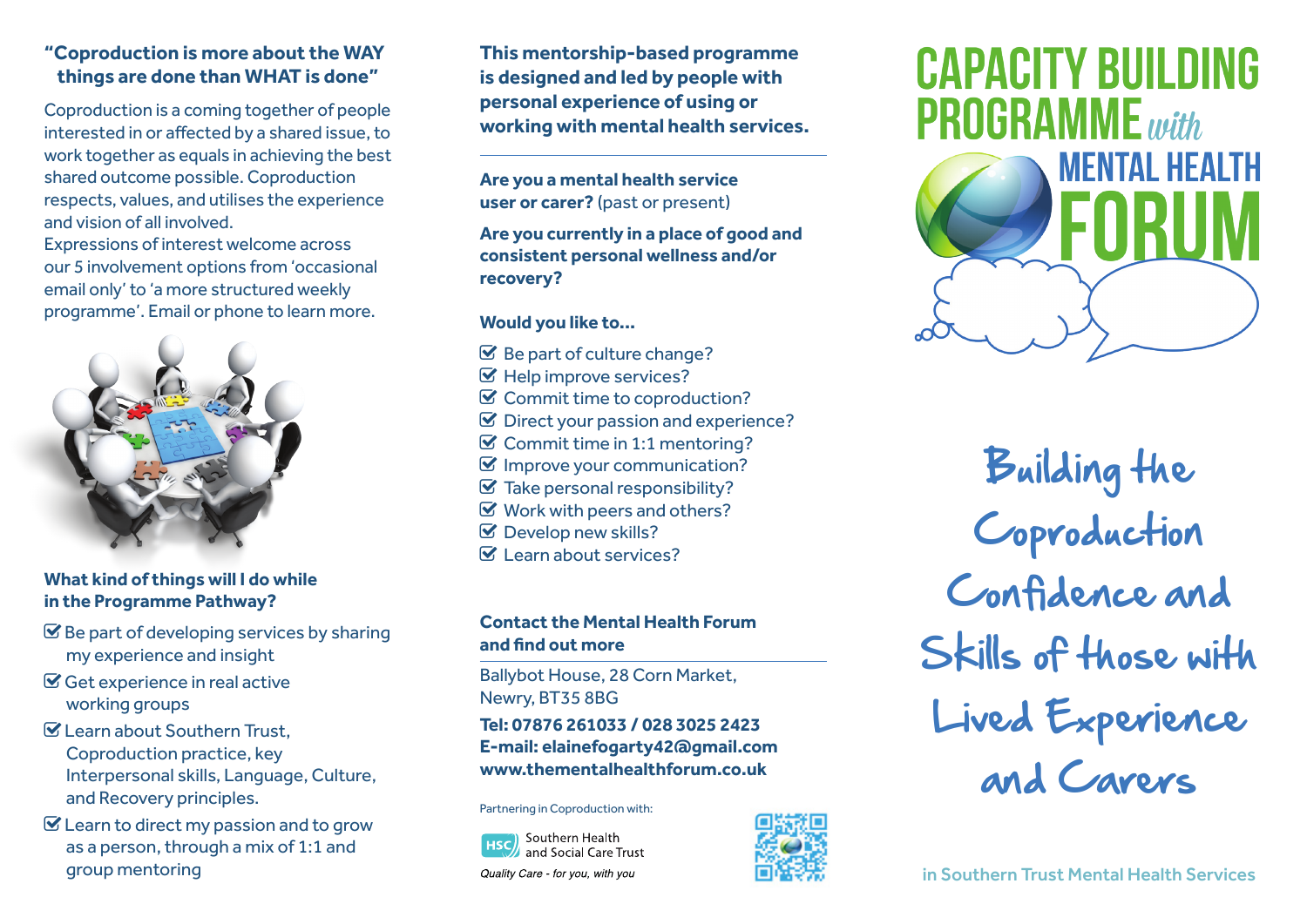## **"Coproduction is more about the WAY things are done than WHAT is done"**

Coproduction is a coming together of people interested in or affected by a shared issue, to work together as equals in achieving the best shared outcome possible. Coproduction respects, values, and utilises the experience and vision of all involved.

Expressions of interest welcome across our 5 involvement options from 'occasional email only' to 'a more structured weekly programme'. Email or phone to learn more.



#### **What kind of things will I do while in the Programme Pathway?**

- $\mathcal{\mathcal{G}}$  Be part of developing services by sharing my experience and insight
- Get experience in real active working groups
- Learn about Southern Trust, Coproduction practice, key Interpersonal skills, Language, Culture, and Recovery principles.
- $\mathbf G$  Learn to direct my passion and to grow as a person, through a mix of 1:1 and group mentoring

**This mentorship-based programme is designed and led by people with personal experience of using or working with mental health services.**

**Are you a mental health service user or carer?** (past or present)

**Are you currently in a place of good and consistent personal wellness and/or recovery?**

#### **Would you like to...**

- $\mathcal G$  Be part of culture change?
- $\mathcal G$  Help improve services?
- $\mathcal G$  Commit time to coproduction?
- $\mathcal G$  Direct your passion and experience?
- $\mathcal G$  Commit time in 1:1 mentoring?
- $\mathcal G$  Improve your communication?
- $\mathcal G$  Take personal responsibility?
- $\mathcal G$  Work with peers and others?
- Develop new skills?
- $\mathbf{V}$  Learn about services?

### **Contact the Mental Health Forum and find out more**

Ballybot House, 28 Corn Market, Newry, BT35 8BG

**Tel: 07876 261033 / 028 3025 2423 E-mail: elainefogarty42@gmail.com www.thementalhealthforum.co.uk**

Partnering in Coproduction with:

Southern Health and Social Care Trust Quality Care - for you, with you



# **CAPACITY BUILDING PROGRAMME** with



Building the Coproduction Confidence and Skills of those with Lived Experience and Carera